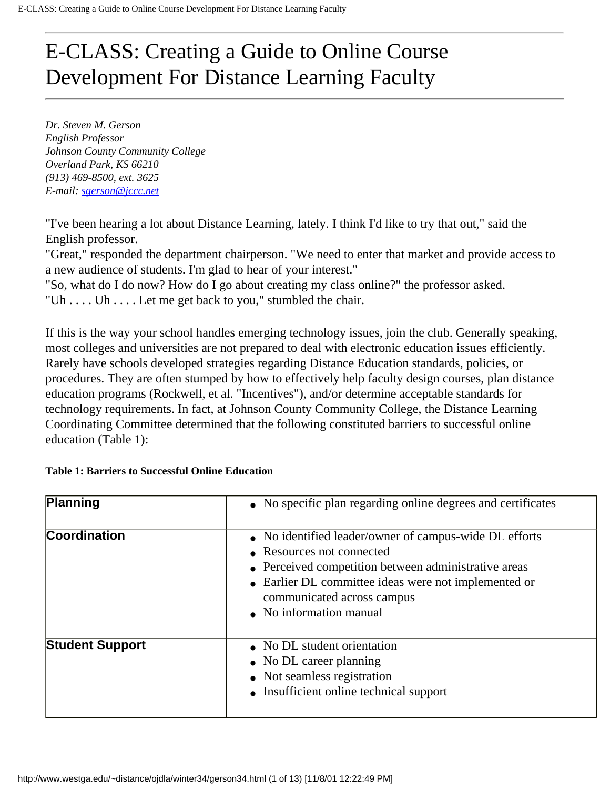# E-CLASS: Creating a Guide to Online Course Development For Distance Learning Faculty

*Dr. Steven M. Gerson English Professor Johnson County Community College Overland Park, KS 66210 (913) 469-8500, ext. 3625 E-mail: [sgerson@jccc.net](mailto:sgerson@jccc.net)*

"I've been hearing a lot about Distance Learning, lately. I think I'd like to try that out," said the English professor.

"Great," responded the department chairperson. "We need to enter that market and provide access to a new audience of students. I'm glad to hear of your interest."

"So, what do I do now? How do I go about creating my class online?" the professor asked. "Uh . . . . Uh . . . . Let me get back to you," stumbled the chair.

If this is the way your school handles emerging technology issues, join the club. Generally speaking, most colleges and universities are not prepared to deal with electronic education issues efficiently. Rarely have schools developed strategies regarding Distance Education standards, policies, or procedures. They are often stumped by how to effectively help faculty design courses, plan distance education programs (Rockwell, et al. "Incentives"), and/or determine acceptable standards for technology requirements. In fact, at Johnson County Community College, the Distance Learning Coordinating Committee determined that the following constituted barriers to successful online education (Table 1):

| Planning               | • No specific plan regarding online degrees and certificates                                                                                                                                                                                                 |
|------------------------|--------------------------------------------------------------------------------------------------------------------------------------------------------------------------------------------------------------------------------------------------------------|
| Coordination           | • No identified leader/owner of campus-wide DL efforts<br>• Resources not connected<br>• Perceived competition between administrative areas<br>• Earlier DL committee ideas were not implemented or<br>communicated across campus<br>• No information manual |
| <b>Student Support</b> | • No DL student orientation<br>• No DL career planning<br>• Not seamless registration<br>• Insufficient online technical support                                                                                                                             |

#### **Table 1: Barriers to Successful Online Education**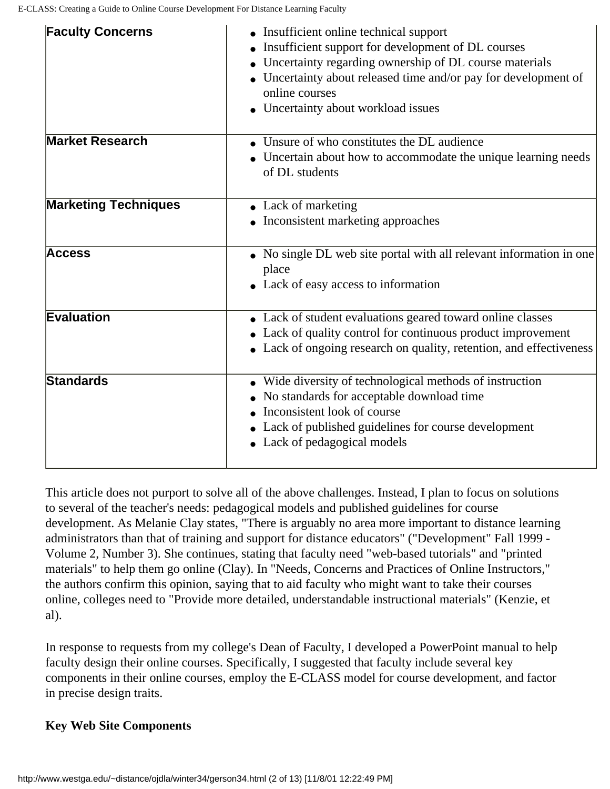| <b>Faculty Concerns</b>     | • Insufficient online technical support<br>Insufficient support for development of DL courses<br>Uncertainty regarding ownership of DL course materials<br>• Uncertainty about released time and/or pay for development of<br>online courses<br>• Uncertainty about workload issues |
|-----------------------------|-------------------------------------------------------------------------------------------------------------------------------------------------------------------------------------------------------------------------------------------------------------------------------------|
| <b>Market Research</b>      | Unsure of who constitutes the DL audience<br>• Uncertain about how to accommodate the unique learning needs<br>of DL students                                                                                                                                                       |
| <b>Marketing Techniques</b> | • Lack of marketing<br>• Inconsistent marketing approaches                                                                                                                                                                                                                          |
| <b>Access</b>               | • No single DL web site portal with all relevant information in one<br>place<br>• Lack of easy access to information                                                                                                                                                                |
| <b>Evaluation</b>           | • Lack of student evaluations geared toward online classes<br>• Lack of quality control for continuous product improvement<br>• Lack of ongoing research on quality, retention, and effectiveness                                                                                   |
| <b>Standards</b>            | • Wide diversity of technological methods of instruction<br>No standards for acceptable download time<br>Inconsistent look of course<br>• Lack of published guidelines for course development<br>• Lack of pedagogical models                                                       |

This article does not purport to solve all of the above challenges. Instead, I plan to focus on solutions to several of the teacher's needs: pedagogical models and published guidelines for course development. As Melanie Clay states, "There is arguably no area more important to distance learning administrators than that of training and support for distance educators" ("Development" Fall 1999 - Volume 2, Number 3). She continues, stating that faculty need "web-based tutorials" and "printed materials" to help them go online (Clay). In "Needs, Concerns and Practices of Online Instructors," the authors confirm this opinion, saying that to aid faculty who might want to take their courses online, colleges need to "Provide more detailed, understandable instructional materials" (Kenzie, et al).

In response to requests from my college's Dean of Faculty, I developed a PowerPoint manual to help faculty design their online courses. Specifically, I suggested that faculty include several key components in their online courses, employ the E-CLASS model for course development, and factor in precise design traits.

## **Key Web Site Components**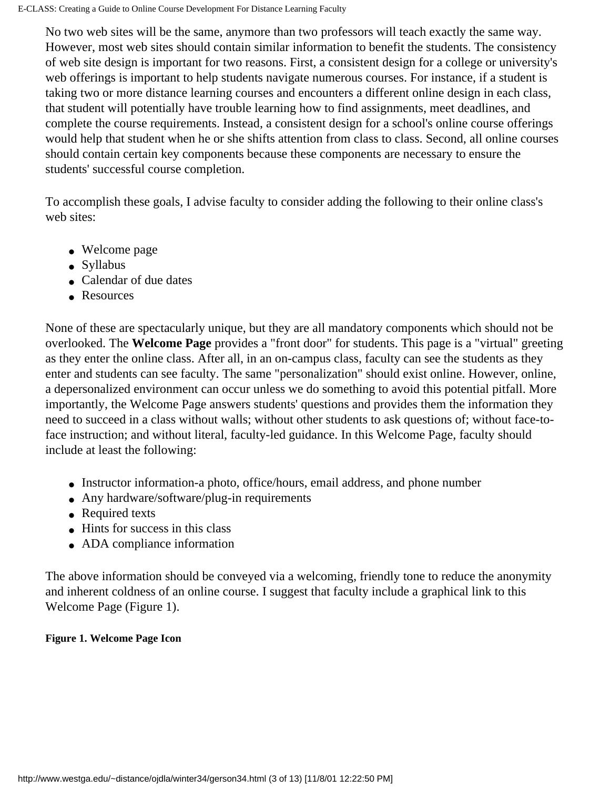No two web sites will be the same, anymore than two professors will teach exactly the same way. However, most web sites should contain similar information to benefit the students. The consistency of web site design is important for two reasons. First, a consistent design for a college or university's web offerings is important to help students navigate numerous courses. For instance, if a student is taking two or more distance learning courses and encounters a different online design in each class, that student will potentially have trouble learning how to find assignments, meet deadlines, and complete the course requirements. Instead, a consistent design for a school's online course offerings would help that student when he or she shifts attention from class to class. Second, all online courses should contain certain key components because these components are necessary to ensure the students' successful course completion.

To accomplish these goals, I advise faculty to consider adding the following to their online class's web sites:

- Welcome page
- Syllabus
- Calendar of due dates
- Resources

None of these are spectacularly unique, but they are all mandatory components which should not be overlooked. The **Welcome Page** provides a "front door" for students. This page is a "virtual" greeting as they enter the online class. After all, in an on-campus class, faculty can see the students as they enter and students can see faculty. The same "personalization" should exist online. However, online, a depersonalized environment can occur unless we do something to avoid this potential pitfall. More importantly, the Welcome Page answers students' questions and provides them the information they need to succeed in a class without walls; without other students to ask questions of; without face-toface instruction; and without literal, faculty-led guidance. In this Welcome Page, faculty should include at least the following:

- Instructor information-a photo, office/hours, email address, and phone number
- Any hardware/software/plug-in requirements
- Required texts
- Hints for success in this class
- ADA compliance information

The above information should be conveyed via a welcoming, friendly tone to reduce the anonymity and inherent coldness of an online course. I suggest that faculty include a graphical link to this Welcome Page (Figure 1).

## **Figure 1. Welcome Page Icon**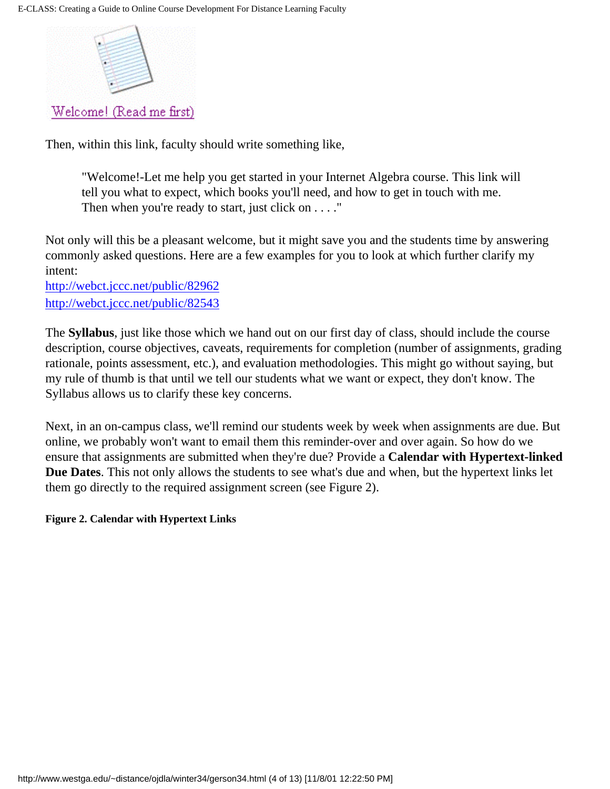

Then, within this link, faculty should write something like,

"Welcome!-Let me help you get started in your Internet Algebra course. This link will tell you what to expect, which books you'll need, and how to get in touch with me. Then when you're ready to start, just click on . . . ."

Not only will this be a pleasant welcome, but it might save you and the students time by answering commonly asked questions. Here are a few examples for you to look at which further clarify my intent:

<http://webct.jccc.net/public/82962> <http://webct.jccc.net/public/82543>

The **Syllabus**, just like those which we hand out on our first day of class, should include the course description, course objectives, caveats, requirements for completion (number of assignments, grading rationale, points assessment, etc.), and evaluation methodologies. This might go without saying, but my rule of thumb is that until we tell our students what we want or expect, they don't know. The Syllabus allows us to clarify these key concerns.

Next, in an on-campus class, we'll remind our students week by week when assignments are due. But online, we probably won't want to email them this reminder-over and over again. So how do we ensure that assignments are submitted when they're due? Provide a **Calendar with Hypertext-linked Due Dates**. This not only allows the students to see what's due and when, but the hypertext links let them go directly to the required assignment screen (see Figure 2).

#### **Figure 2. Calendar with Hypertext Links**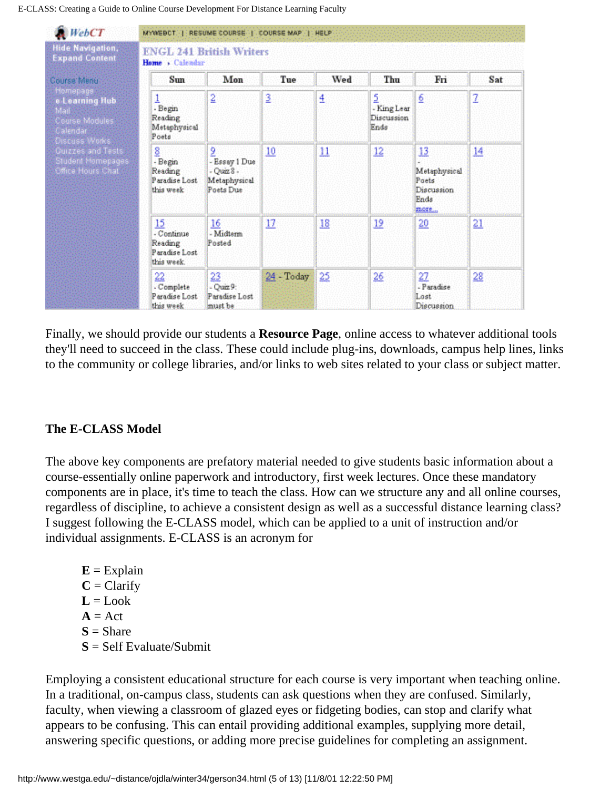E-CLASS: Creating a Guide to Online Course Development For Distance Learning Faculty

| <b>Hide Navigation,</b><br><b>Expand Content</b>                                               | <b>ENGL 241 British Writers</b><br>Home . Calendar         |                                                                   |                 |     |                                        |                                                           |         |
|------------------------------------------------------------------------------------------------|------------------------------------------------------------|-------------------------------------------------------------------|-----------------|-----|----------------------------------------|-----------------------------------------------------------|---------|
| Course Menu                                                                                    | Sun                                                        | Mon                                                               | Tue             | Wed | Thu                                    | Fri                                                       | Sat     |
| Homepage<br>e Learning Hub<br>Mail<br>Course Modules<br>Calendar <sup>:</sup><br>Discuss Works | 1<br>- Begin<br>Reading<br>Metaphysical<br>Poets           | 2                                                                 | 3               | 4   | 2<br>- King Lear<br>Discussion<br>Ends | 6                                                         | 2       |
| <b>Quizzes and Tests</b><br>Stadent Hemepages<br>Offical Hours Chât                            | 8<br>- Begin<br>Reading<br>Paradise Lost<br>this week.     | 2<br>- Essay 1 Due<br>$-0$ uiz $8 -$<br>Metaphysical<br>Poets Due | 10              | 11  | 12                                     | 13<br>Metaphysical<br>Poets<br>Discussion<br>Fnds<br>more | 14      |
|                                                                                                | 15<br>- Continue<br>Reading<br>Paradise Lost<br>this week. | 16<br>- Midterm<br>Posted                                         | 17              | 18  | 12                                     | $20^{1}$                                                  | 21      |
|                                                                                                | 22<br>- Complete<br>Paradise Lost<br>this week             | 23<br>$-$ Quiz 9:<br>Paradise Lost<br>must be                     | $24 - Today$ 25 |     | $^{26}$                                | 27<br>- Paradise<br>Lost<br>Discussion                    | $^{28}$ |

Finally, we should provide our students a **Resource Page**, online access to whatever additional tools they'll need to succeed in the class. These could include plug-ins, downloads, campus help lines, links to the community or college libraries, and/or links to web sites related to your class or subject matter.

## **The E-CLASS Model**

The above key components are prefatory material needed to give students basic information about a course-essentially online paperwork and introductory, first week lectures. Once these mandatory components are in place, it's time to teach the class. How can we structure any and all online courses, regardless of discipline, to achieve a consistent design as well as a successful distance learning class? I suggest following the E-CLASS model, which can be applied to a unit of instruction and/or individual assignments. E-CLASS is an acronym for

 $E =$ Explain  $C =$ Clarify  $L = Look$  $A = Act$  $S =$ Share **S** = Self Evaluate/Submit

Employing a consistent educational structure for each course is very important when teaching online. In a traditional, on-campus class, students can ask questions when they are confused. Similarly, faculty, when viewing a classroom of glazed eyes or fidgeting bodies, can stop and clarify what appears to be confusing. This can entail providing additional examples, supplying more detail, answering specific questions, or adding more precise guidelines for completing an assignment.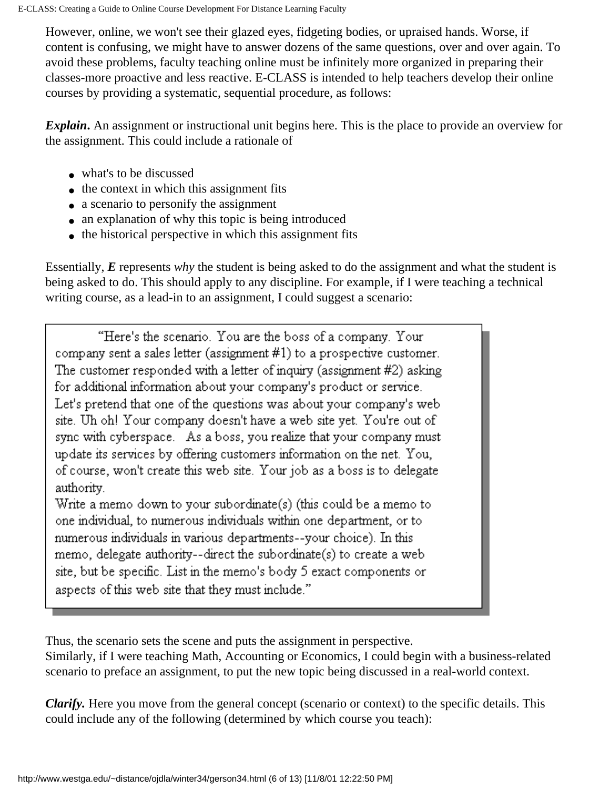However, online, we won't see their glazed eyes, fidgeting bodies, or upraised hands. Worse, if content is confusing, we might have to answer dozens of the same questions, over and over again. To avoid these problems, faculty teaching online must be infinitely more organized in preparing their classes-more proactive and less reactive. E-CLASS is intended to help teachers develop their online courses by providing a systematic, sequential procedure, as follows:

*Explain***.** An assignment or instructional unit begins here. This is the place to provide an overview for the assignment. This could include a rationale of

- what's to be discussed
- the context in which this assignment fits
- a scenario to personify the assignment
- an explanation of why this topic is being introduced
- the historical perspective in which this assignment fits

Essentially, *E* represents *why* the student is being asked to do the assignment and what the student is being asked to do. This should apply to any discipline. For example, if I were teaching a technical writing course, as a lead-in to an assignment, I could suggest a scenario:

"Here's the scenario. You are the boss of a company. Your company sent a sales letter (assignment #1) to a prospective customer. The customer responded with a letter of inquiry (assignment  $#2$ ) asking for additional information about your company's product or service. Let's pretend that one of the questions was about your company's web site. Uh oh! Your company doesn't have a web site yet. You're out of sync with cyberspace. As a boss, you realize that your company must update its services by offering customers information on the net. You, of course, won't create this web site. Your job as a boss is to delegate authority. Write a memo down to your subordinate(s) (this could be a memo to one individual, to numerous individuals within one department, or to numerous individuals in various departments--your choice). In this memo, delegate authority--direct the subordinate(s) to create a web site, but be specific. List in the memo's body 5 exact components or

aspects of this web site that they must include."

Thus, the scenario sets the scene and puts the assignment in perspective.

Similarly, if I were teaching Math, Accounting or Economics, I could begin with a business-related scenario to preface an assignment, to put the new topic being discussed in a real-world context.

*Clarify*. Here you move from the general concept (scenario or context) to the specific details. This could include any of the following (determined by which course you teach):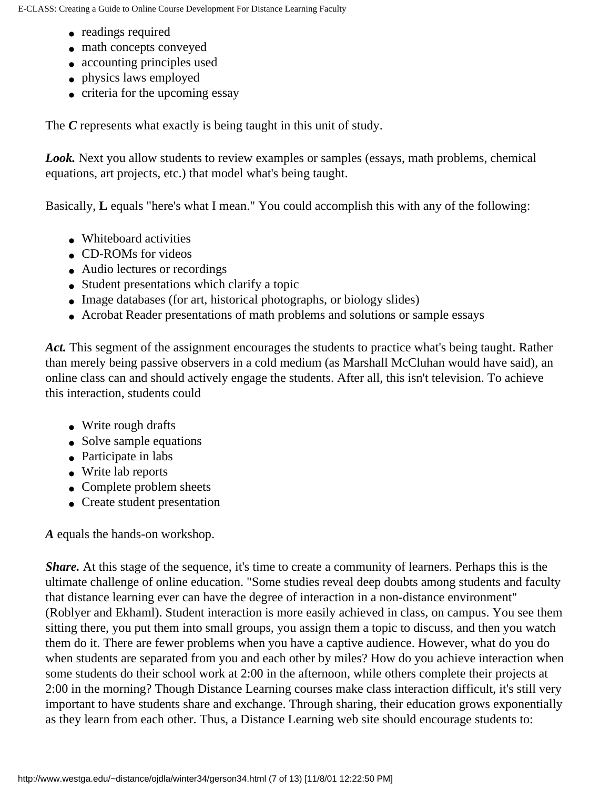- readings required
- math concepts conveyed
- accounting principles used
- physics laws employed
- criteria for the upcoming essay

The *C* represents what exactly is being taught in this unit of study.

Look. Next you allow students to review examples or samples (essays, math problems, chemical equations, art projects, etc.) that model what's being taught.

Basically, **L** equals "here's what I mean." You could accomplish this with any of the following:

- Whiteboard activities
- CD-ROMs for videos
- Audio lectures or recordings
- Student presentations which clarify a topic
- Image databases (for art, historical photographs, or biology slides)
- Acrobat Reader presentations of math problems and solutions or sample essays

Act. This segment of the assignment encourages the students to practice what's being taught. Rather than merely being passive observers in a cold medium (as Marshall McCluhan would have said), an online class can and should actively engage the students. After all, this isn't television. To achieve this interaction, students could

- Write rough drafts
- Solve sample equations
- Participate in labs
- Write lab reports
- Complete problem sheets
- Create student presentation

*A* equals the hands-on workshop.

*Share.* At this stage of the sequence, it's time to create a community of learners. Perhaps this is the ultimate challenge of online education. "Some studies reveal deep doubts among students and faculty that distance learning ever can have the degree of interaction in a non-distance environment" (Roblyer and Ekhaml). Student interaction is more easily achieved in class, on campus. You see them sitting there, you put them into small groups, you assign them a topic to discuss, and then you watch them do it. There are fewer problems when you have a captive audience. However, what do you do when students are separated from you and each other by miles? How do you achieve interaction when some students do their school work at 2:00 in the afternoon, while others complete their projects at 2:00 in the morning? Though Distance Learning courses make class interaction difficult, it's still very important to have students share and exchange. Through sharing, their education grows exponentially as they learn from each other. Thus, a Distance Learning web site should encourage students to: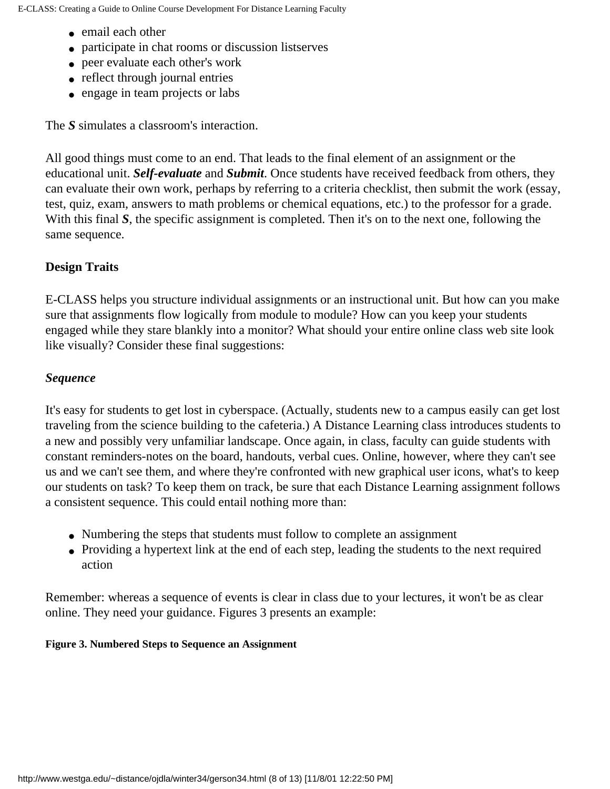- email each other
- participate in chat rooms or discussion listserves
- peer evaluate each other's work
- reflect through journal entries
- engage in team projects or labs

The *S* simulates a classroom's interaction.

All good things must come to an end. That leads to the final element of an assignment or the educational unit. *Self-evaluate* and *Submit*. Once students have received feedback from others, they can evaluate their own work, perhaps by referring to a criteria checklist, then submit the work (essay, test, quiz, exam, answers to math problems or chemical equations, etc.) to the professor for a grade. With this final *S*, the specific assignment is completed. Then it's on to the next one, following the same sequence.

# **Design Traits**

E-CLASS helps you structure individual assignments or an instructional unit. But how can you make sure that assignments flow logically from module to module? How can you keep your students engaged while they stare blankly into a monitor? What should your entire online class web site look like visually? Consider these final suggestions:

## *Sequence*

It's easy for students to get lost in cyberspace. (Actually, students new to a campus easily can get lost traveling from the science building to the cafeteria.) A Distance Learning class introduces students to a new and possibly very unfamiliar landscape. Once again, in class, faculty can guide students with constant reminders-notes on the board, handouts, verbal cues. Online, however, where they can't see us and we can't see them, and where they're confronted with new graphical user icons, what's to keep our students on task? To keep them on track, be sure that each Distance Learning assignment follows a consistent sequence. This could entail nothing more than:

- Numbering the steps that students must follow to complete an assignment
- Providing a hypertext link at the end of each step, leading the students to the next required action

Remember: whereas a sequence of events is clear in class due to your lectures, it won't be as clear online. They need your guidance. Figures 3 presents an example:

#### **Figure 3. Numbered Steps to Sequence an Assignment**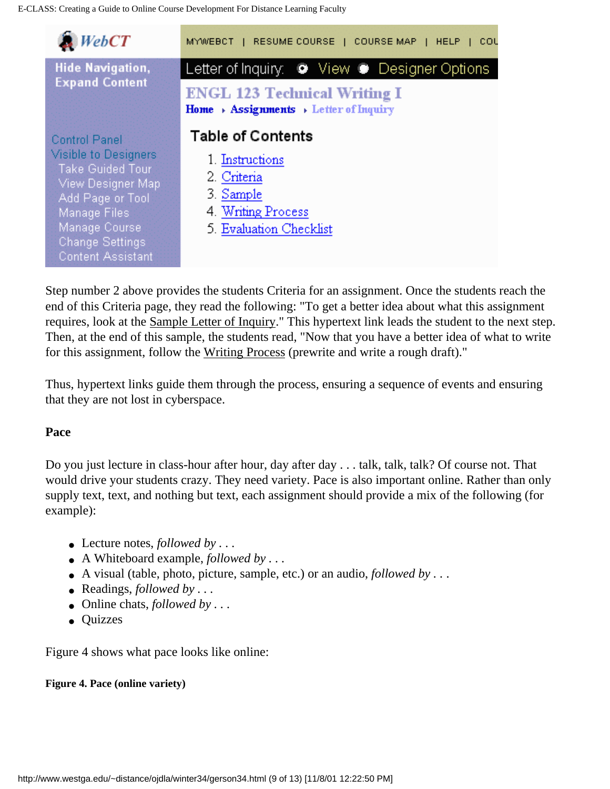| WebCT                                                                                                                                                                                                   | MYWEBCT   RESUME COURSE   COURSE MAP   HELP<br>cou                                                                                                    |
|---------------------------------------------------------------------------------------------------------------------------------------------------------------------------------------------------------|-------------------------------------------------------------------------------------------------------------------------------------------------------|
| <b>Hide Navigation,</b><br><b>Expand Content</b>                                                                                                                                                        | Letter of Inquiry: ● View ● Designer Options<br><b>ENGL 123 Technical Writing I</b><br>Home $\rightarrow$ Assignments $\rightarrow$ Letter of Inquiry |
| <b>Control Panel</b><br>Visible to Designers<br>Take Guided Tour<br>View Designer Map<br>Add Page or Tool<br><b>Manage Files</b><br>Manage Course<br><b>Change Settings</b><br><b>Content Assistant</b> | <b>Table of Contents</b><br>1. Instructions<br>2. Criteria<br>3. Sample<br>4. Writing Process<br>5. Evaluation Checklist                              |

Step number 2 above provides the students Criteria for an assignment. Once the students reach the end of this Criteria page, they read the following: "To get a better idea about what this assignment requires, look at the Sample Letter of Inquiry." This hypertext link leads the student to the next step. Then, at the end of this sample, the students read, "Now that you have a better idea of what to write for this assignment, follow the Writing Process (prewrite and write a rough draft)."

Thus, hypertext links guide them through the process, ensuring a sequence of events and ensuring that they are not lost in cyberspace.

#### **Pace**

Do you just lecture in class-hour after hour, day after day . . . talk, talk, talk? Of course not. That would drive your students crazy. They need variety. Pace is also important online. Rather than only supply text, text, and nothing but text, each assignment should provide a mix of the following (for example):

- Lecture notes,  $followed by ...$
- A Whiteboard example, *followed by . . .*
- $\bullet$  A visual (table, photo, picture, sample, etc.) or an audio, *followed by* . . .
- Readings, *followed by . . .*
- Online chats, *followed by* . . .
- Quizzes

Figure 4 shows what pace looks like online:

#### **Figure 4. Pace (online variety)**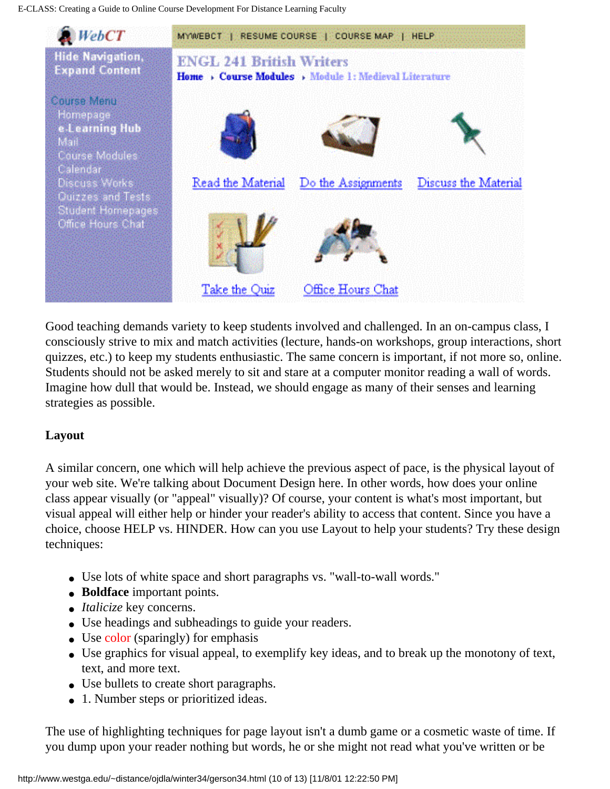E-CLASS: Creating a Guide to Online Course Development For Distance Learning Faculty



Good teaching demands variety to keep students involved and challenged. In an on-campus class, I consciously strive to mix and match activities (lecture, hands-on workshops, group interactions, short quizzes, etc.) to keep my students enthusiastic. The same concern is important, if not more so, online. Students should not be asked merely to sit and stare at a computer monitor reading a wall of words. Imagine how dull that would be. Instead, we should engage as many of their senses and learning strategies as possible.

## **Layout**

A similar concern, one which will help achieve the previous aspect of pace, is the physical layout of your web site. We're talking about Document Design here. In other words, how does your online class appear visually (or "appeal" visually)? Of course, your content is what's most important, but visual appeal will either help or hinder your reader's ability to access that content. Since you have a choice, choose HELP vs. HINDER. How can you use Layout to help your students? Try these design techniques:

- Use lots of white space and short paragraphs vs. "wall-to-wall words."
- **Boldface** important points.
- *Italicize* key concerns.
- Use headings and subheadings to guide your readers.
- Use color (sparingly) for emphasis
- Use graphics for visual appeal, to exemplify key ideas, and to break up the monotony of text, text, and more text.
- Use bullets to create short paragraphs.
- 1. Number steps or prioritized ideas.

The use of highlighting techniques for page layout isn't a dumb game or a cosmetic waste of time. If you dump upon your reader nothing but words, he or she might not read what you've written or be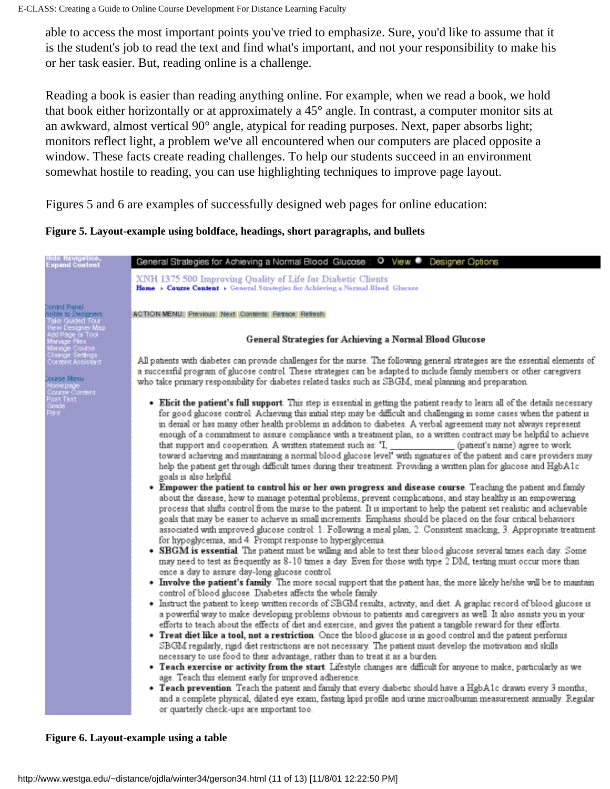able to access the most important points you've tried to emphasize. Sure, you'd like to assume that it is the student's job to read the text and find what's important, and not your responsibility to make his or her task easier. But, reading online is a challenge.

Reading a book is easier than reading anything online. For example, when we read a book, we hold that book either horizontally or at approximately a 45° angle. In contrast, a computer monitor sits at an awkward, almost vertical 90° angle, atypical for reading purposes. Next, paper absorbs light; monitors reflect light, a problem we've all encountered when our computers are placed opposite a window. These facts create reading challenges. To help our students succeed in an environment somewhat hostile to reading, you can use highlighting techniques to improve page layout.

Figures 5 and 6 are examples of successfully designed web pages for online education:

**Figure 5. Layout-example using boldface, headings, short paragraphs, and bullets**



**Figure 6. Layout-example using a table**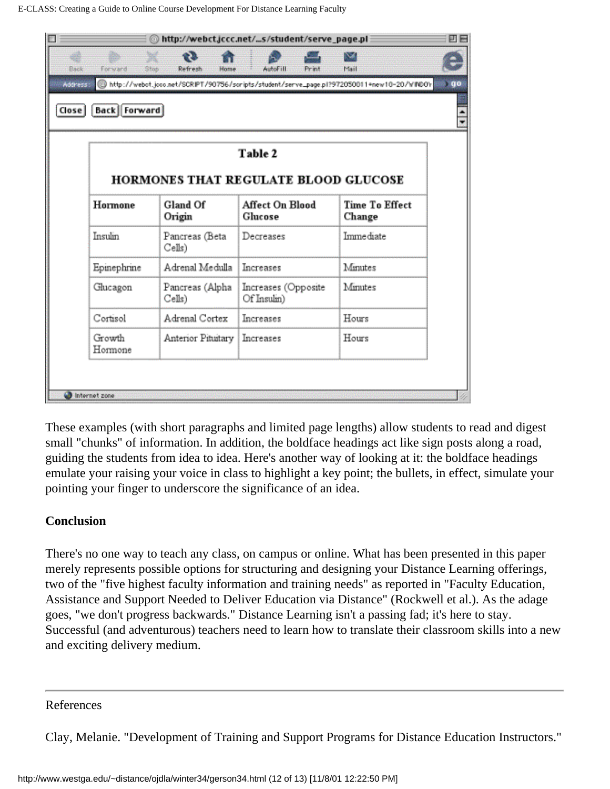|              | ⋒<br>œ                    | http://webct.jccc.net/s/student/serve_page.pl                                              | M                               |
|--------------|---------------------------|--------------------------------------------------------------------------------------------|---------------------------------|
| Forward      | S ingl<br>Refresh<br>Home | AutoF ill<br>Print                                                                         | Mail                            |
| Address      |                           | http://webot.jcoo.net/SCRIPT/90756/scripts/student/serve_page.pl?972050011+new10-20/WINDOV |                                 |
| Back Forward |                           |                                                                                            |                                 |
|              |                           |                                                                                            |                                 |
|              |                           | Table 2                                                                                    |                                 |
|              |                           |                                                                                            |                                 |
|              |                           | <b>HORMONES THAT REGULATE BLOOD GLUCOSE</b>                                                |                                 |
| Hormone      | Gland Of<br>Origin        | <b>Affect On Blood</b><br>Glucose                                                          | <b>Time To Effect</b><br>Change |
| Insulin      | Pancreas (Beta<br>Cells)  | Decreases                                                                                  | Immediate                       |
| Epinephrine  | Adrenal Medulla           | Increases                                                                                  | Minutes                         |
|              | Pancreas (Alpha           | Increases (Opposite                                                                        | Minutes                         |
| Glucagon     | Cells)                    | Of Insulin)                                                                                |                                 |
| Cortisol     | Adrenal Cortex            | Increases                                                                                  | Hours                           |

These examples (with short paragraphs and limited page lengths) allow students to read and digest small "chunks" of information. In addition, the boldface headings act like sign posts along a road, guiding the students from idea to idea. Here's another way of looking at it: the boldface headings emulate your raising your voice in class to highlight a key point; the bullets, in effect, simulate your pointing your finger to underscore the significance of an idea.

## **Conclusion**

There's no one way to teach any class, on campus or online. What has been presented in this paper merely represents possible options for structuring and designing your Distance Learning offerings, two of the "five highest faculty information and training needs" as reported in "Faculty Education, Assistance and Support Needed to Deliver Education via Distance" (Rockwell et al.). As the adage goes, "we don't progress backwards." Distance Learning isn't a passing fad; it's here to stay. Successful (and adventurous) teachers need to learn how to translate their classroom skills into a new and exciting delivery medium.

#### References

Clay, Melanie. "Development of Training and Support Programs for Distance Education Instructors."